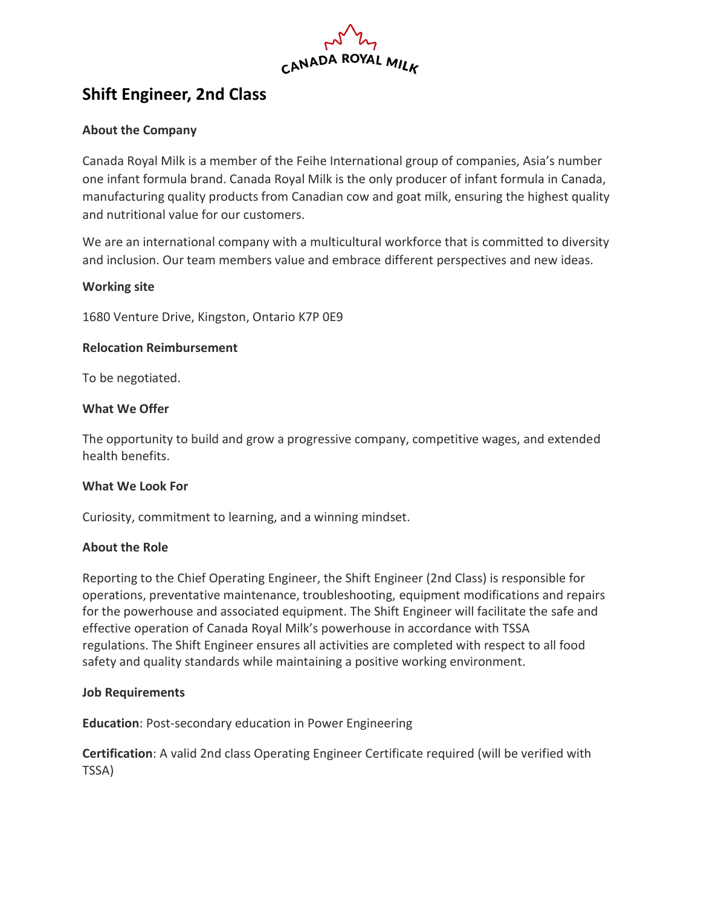

# **Shift Engineer, 2nd Class**

## **About the Company**

Canada Royal Milk is a member of the Feihe International group of companies, Asia's number one infant formula brand. Canada Royal Milk is the only producer of infant formula in Canada, manufacturing quality products from Canadian cow and goat milk, ensuring the highest quality and nutritional value for our customers.

We are an international company with a multicultural workforce that is committed to diversity and inclusion. Our team members value and embrace different perspectives and new ideas.

## **Working site**

1680 Venture Drive, Kingston, Ontario K7P 0E9

#### **Relocation Reimbursement**

To be negotiated.

#### **What We Offer**

The opportunity to build and grow a progressive company, competitive wages, and extended health benefits.

#### **What We Look For**

Curiosity, commitment to learning, and a winning mindset.

#### **About the Role**

Reporting to the Chief Operating Engineer, the Shift Engineer (2nd Class) is responsible for operations, preventative maintenance, troubleshooting, equipment modifications and repairs for the powerhouse and associated equipment. The Shift Engineer will facilitate the safe and effective operation of Canada Royal Milk's powerhouse in accordance with TSSA regulations. The Shift Engineer ensures all activities are completed with respect to all food safety and quality standards while maintaining a positive working environment.

#### **Job Requirements**

**Education**: Post-secondary education in Power Engineering

**Certification**: A valid 2nd class Operating Engineer Certificate required (will be verified with TSSA)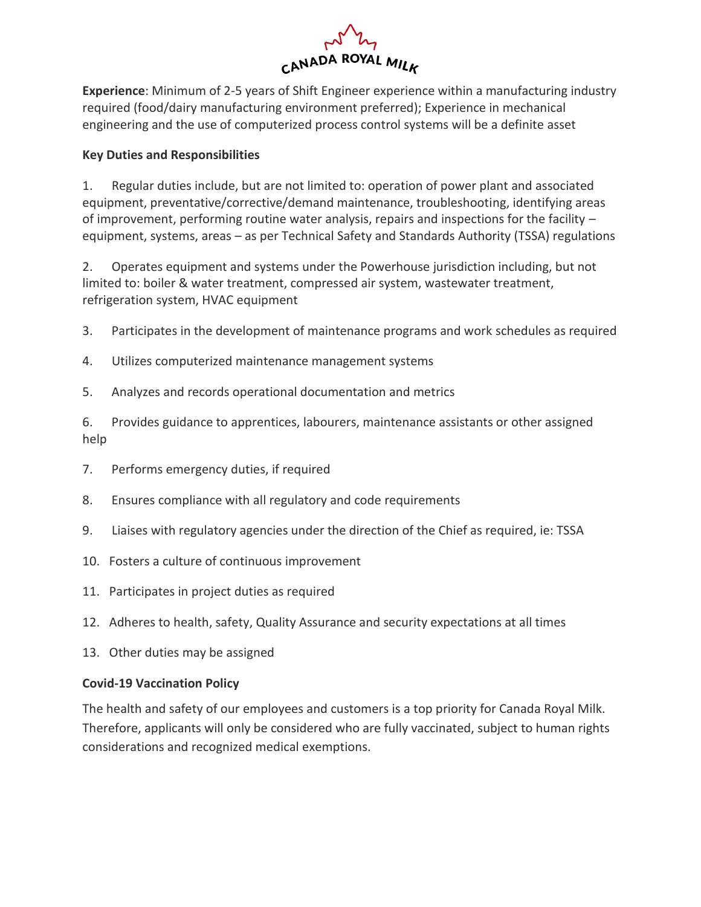

**Experience**: Minimum of 2-5 years of Shift Engineer experience within a manufacturing industry required (food/dairy manufacturing environment preferred); Experience in mechanical engineering and the use of computerized process control systems will be a definite asset

## **Key Duties and Responsibilities**

1. Regular duties include, but are not limited to: operation of power plant and associated equipment, preventative/corrective/demand maintenance, troubleshooting, identifying areas of improvement, performing routine water analysis, repairs and inspections for the facility – equipment, systems, areas – as per Technical Safety and Standards Authority (TSSA) regulations

2. Operates equipment and systems under the Powerhouse jurisdiction including, but not limited to: boiler & water treatment, compressed air system, wastewater treatment, refrigeration system, HVAC equipment

- 3. Participates in the development of maintenance programs and work schedules as required
- 4. Utilizes computerized maintenance management systems
- 5. Analyzes and records operational documentation and metrics

6. Provides guidance to apprentices, labourers, maintenance assistants or other assigned help

- 7. Performs emergency duties, if required
- 8. Ensures compliance with all regulatory and code requirements
- 9. Liaises with regulatory agencies under the direction of the Chief as required, ie: TSSA
- 10. Fosters a culture of continuous improvement
- 11. Participates in project duties as required
- 12. Adheres to health, safety, Quality Assurance and security expectations at all times
- 13. Other duties may be assigned

# **Covid-19 Vaccination Policy**

The health and safety of our employees and customers is a top priority for Canada Royal Milk. Therefore, applicants will only be considered who are fully vaccinated, subject to human rights considerations and recognized medical exemptions.